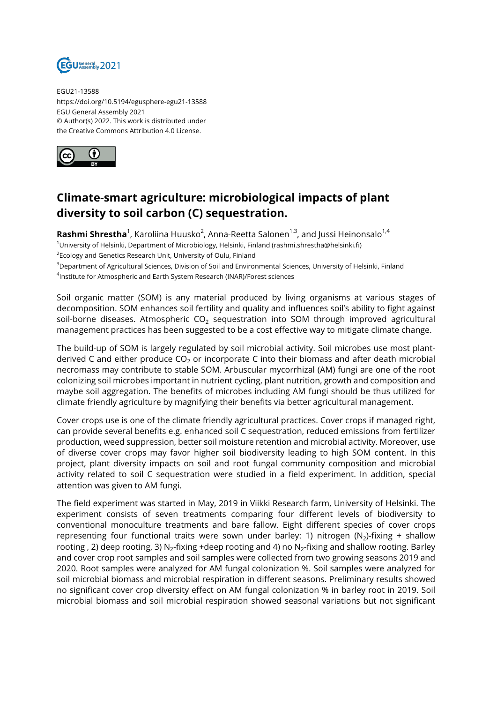

EGU21-13588 https://doi.org/10.5194/egusphere-egu21-13588 EGU General Assembly 2021 © Author(s) 2022. This work is distributed under the Creative Commons Attribution 4.0 License.



## **Climate-smart agriculture: microbiological impacts of plant diversity to soil carbon (C) sequestration.**

**Rashmi Shrestha**<sup>1</sup>, Karoliina Huusko<sup>2</sup>, Anna-Reetta Salonen<sup>1,3</sup>, and Jussi Heinonsalo<sup>1,4</sup> <sup>1</sup>University of Helsinki, Department of Microbiology, Helsinki, Finland (rashmi.shrestha@helsinki.fi)  $^2$ Ecology and Genetics Research Unit, University of Oulu, Finland

<sup>3</sup>Department of Agricultural Sciences, Division of Soil and Environmental Sciences, University of Helsinki, Finland 4 Institute for Atmospheric and Earth System Research (INAR)/Forest sciences

Soil organic matter (SOM) is any material produced by living organisms at various stages of decomposition. SOM enhances soil fertility and quality and influences soil's ability to fight against soil-borne diseases. Atmospheric  $CO<sub>2</sub>$  sequestration into SOM through improved agricultural management practices has been suggested to be a cost effective way to mitigate climate change.

The build-up of SOM is largely regulated by soil microbial activity. Soil microbes use most plantderived C and either produce  $CO<sub>2</sub>$  or incorporate C into their biomass and after death microbial necromass may contribute to stable SOM. Arbuscular mycorrhizal (AM) fungi are one of the root colonizing soil microbes important in nutrient cycling, plant nutrition, growth and composition and maybe soil aggregation. The benefits of microbes including AM fungi should be thus utilized for climate friendly agriculture by magnifying their benefits via better agricultural management.

Cover crops use is one of the climate friendly agricultural practices. Cover crops if managed right, can provide several benefits e.g. enhanced soil C sequestration, reduced emissions from fertilizer production, weed suppression, better soil moisture retention and microbial activity. Moreover, use of diverse cover crops may favor higher soil biodiversity leading to high SOM content. In this project, plant diversity impacts on soil and root fungal community composition and microbial activity related to soil C sequestration were studied in a field experiment. In addition, special attention was given to AM fungi.

The field experiment was started in May, 2019 in Viikki Research farm, University of Helsinki. The experiment consists of seven treatments comparing four different levels of biodiversity to conventional monoculture treatments and bare fallow. Eight different species of cover crops representing four functional traits were sown under barley: 1) nitrogen (N<sub>2</sub>)-fixing + shallow rooting , 2) deep rooting, 3) N $_2$ -fixing +deep rooting and 4) no N $_2$ -fixing and shallow rooting. Barley and cover crop root samples and soil samples were collected from two growing seasons 2019 and 2020. Root samples were analyzed for AM fungal colonization %. Soil samples were analyzed for soil microbial biomass and microbial respiration in different seasons. Preliminary results showed no significant cover crop diversity effect on AM fungal colonization % in barley root in 2019. Soil microbial biomass and soil microbial respiration showed seasonal variations but not significant